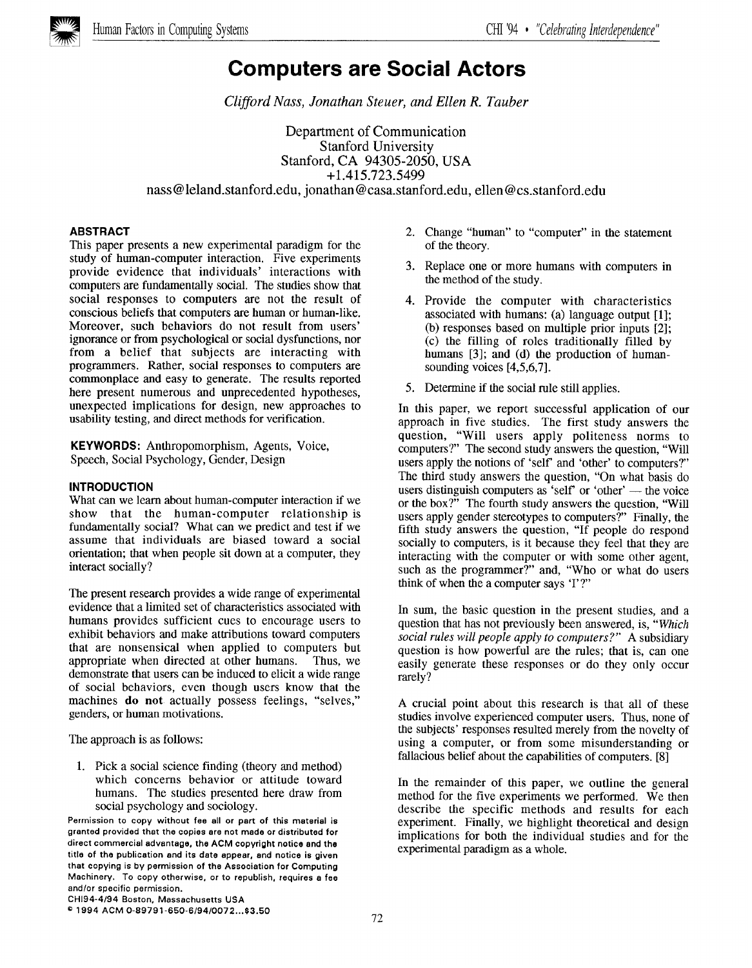

# Computers are Social Actors

Clifford Nass, Jonathan Steuer, and Ellen R. Tauber

Department of Communication Stanford University Stanford, CA 94305-2050, USA +1.415.723.5499 nass@leland.stanford.edu, jonathan@casa.stanford.edu, ellen@cs.stanford.edu

# ABSTRACT

This paper presents a new experimental paradigm for the study of human-computer interaction, Five experiments provide evidence that individuals' interactions with computers are fundamentally social. The studies show that social responses to computers are not the result of conscious beliefs that computers are human or human-like. Moreover, such behaviors do not result from users' ignorance or from psychological or social dysfunctions, nor from a belief that subjects are interacting with programmers. Rather, social responses to computers are commonplace and easy to generate. The results reported here present numerous and unprecedented hypotheses, unexpected implications for design, new approaches to usability testing, and direct methods for verification.

KEYWORDS: Anthropomorphism, Agents, Voice, Speech, Social Psychology, Gender, Design

## **INTRODUCTION**

What can we learn about human-computer interaction if we show that the human-computer relationship is fundamentally social? What can we predict and test if we assume that individuals are biased toward a social orientation; that when people sit down at a computer, they interact socially?

The present research provides a wide range of experimental evidence that a limited set of characteristics associated with humans provides sufficient cues to encourage users to exhibit behaviors and make attributions toward computers that are nonsensical when applied to computers but appropriate when directed at other humans. demonstrate that users can be induced to elicit a wide range of social behaviors, even though users know that the machines do not actually possess feelings, "selves," genders, or human motivations.

The approach is as follows:

1. Pick a social science finding (theory and method) which concerns behavior or attitude toward humans. The studies presented here draw from social psychology and sociology.

- 2. Change "human" to "computer" in the statement of the theory.
- 3. Replace one or more humans with computers in the method of the study.
- 4. Provide the computer with characterist associated with humans: (a) language output [1]; (b) responses based on multiple prior inputs [2]; (c) the filling of roles traditionally filled by humans [3]; and (d) the production of humansounding voices [4,5,6,7].
- 5. Determine if the social rule still applies.

In this paper, we report successful application of our approach in five studies. The first study answers the question, "Will users apply politeness norms to computers?' The second study answers the question, "Will users apply the notions of 'self' and 'other' to computers?" The third study answers the question, "On what basis do users distinguish computers as 'self' or 'other' — the voice or the box?" The fourth study answers the question, "Will users apply gender stereotypes to computers?" Finally, the fifth study answers the question, "If people do respond socially to computers, is it because they feel that they are interacting with the computer or with some other agent, such as the programmer?' and, "Who or what do users think of when the a computer says 'I'?'

In sum, the basic question in the present studies, and a question that has not previously been answered, is, "Which social rules will people apply to computers?" A subsidiary question is how powerful are the rules; that is, can one easily generate these responses or do they only occur rarely?

A crucial point about this research is that all of these studies involve experienced computer users. Thus, none of the subjects' responses resulted merely from the novelty of using a computer, or from some misunderstanding or fallacious belief about the capabilities of computers. [8]

In the remainder of this paper, we outline the general method for the five experiments we performed. We then describe the specific methods and results for each experiment. Finally, we highlight theoretical and design implications for both the individual studies and for the experimental paradigm as a whole.

Permission to copy without fee all or part of this material ia granted provided that the copies are not made or distributed for direct commercial advantage, tha ACM copyright notice and the title of the publication and its data appear, and notice is given that copying is by permission of the Association for Computing Machinery. To copy otherwise, or to republish, requires a fea and/or specific permission.

CH194-4/94 Boston, Massachusetts USA

o 1994 ACM 0-89791 -650 -6/94 /0072 . ..\$3.50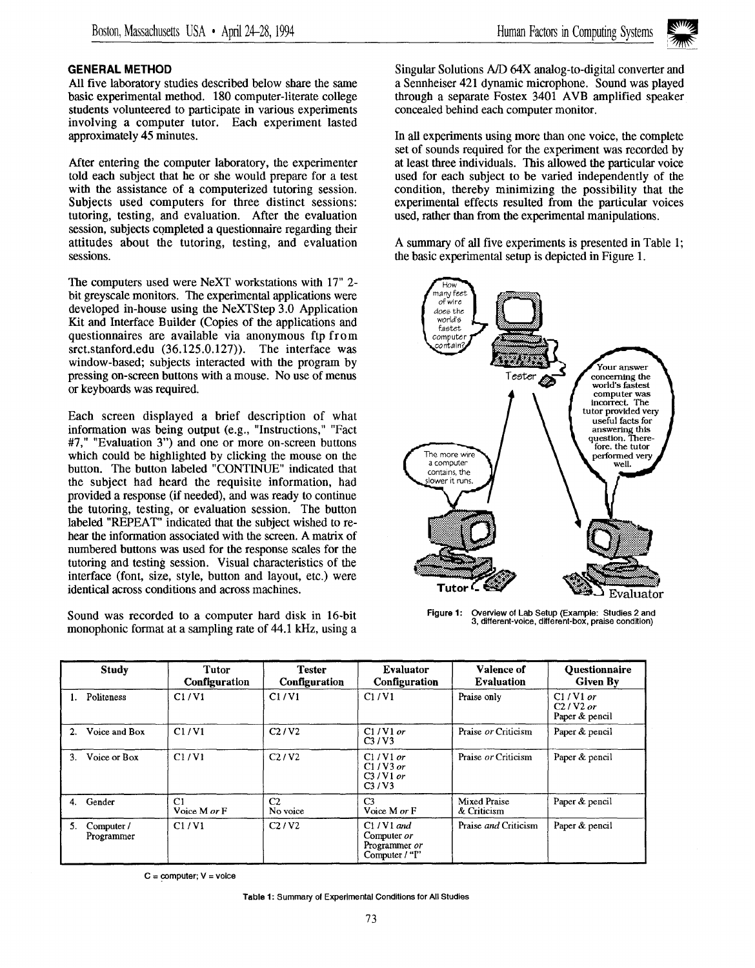

## GENERAL METHOD

All five laboratory studies described below share the same basic experimental method. 180 computer-literate college students volunteered to participate in various experiments involving a computer tutor. Each experiment lasted approximately 45 minutes.

After entering the computer laboratory, the experimenter told each subject that he or she would prepare for a test with the assistance of a computerized tutoring session, Subjects used computers for three distinct sessions: tutoring, testing, and evaluation. After the evaluation session, subjects completed a questionnaire regarding their attitudes about the tutoring, testing, and evaluation sessions.

The computers used were NeXT workstations with 17"2 bit greyscale monitors. The experimental applications were developed in-house using the NeXTStep 3.0 Application Kit and Interface Builder (Copies of the applications and questionnaires are available via anonymous ftp from srct.stanford.edu (36.125.0.127)). The interface was window-based; subjects interacted with the program by pressing on-screen buttons with a mouse. No use of menus or keyboards was required.

Each screen displayed a brief description of what information was being output (e.g., "Instructions," "Fact #7," "Evaluation 3") and one or more on-screen buttons which could be highlighted by clicking the mouse on the button. The button labeled "CONTINUE" indicated that the subject had heard the requisite information, had provided a response (if needed), and was ready to continue the tutoring, testing, or evaluation session. The button labeled "REPEAT" indicated that the subject wished to rehear the information associated with the screen. A matrix of numbered buttons was used for the response scales for the tutoring and testing session. Visual characteristics of the interface (font, size, style, button and layout, etc.) were identical across conditions and across machines.

Sound was recorded to a computer hard disk in 16-bit monophonic format at a sampling rate of 44.1 kHz, using a

Singular Solutions A/D 64X analog-to-digital converter and a Sennheiser 421 dynamic microphone. Sound was played through a separate Fostex 3401 AVB amplified speaker concealed behind each computer monitor.

In all experiments using more than one voice, the complete set of sounds required for the experiment was recorded by at least three individuals. This allowed the particular voice used for each subject to be varied independently of the condition, thereby minimizing the possibility that the experimental effects resulted from the particular voices used, rather than from the experimental manipulations.

A summary of all five experiments is presented in Table 1; the basic experimental setup is depicted in Figure 1.



Figure 1: Overview of Lab Setup (Example: Studies 2 and 3, different-voice, dffferent-box, praise condition)

|    | <b>Study</b>                | Tutor<br>Configuration | <b>Tester</b><br>Configuration | <b>Evaluator</b><br>Configuration                                        | Valence of<br><b>Evaluation</b>    | <b>Questionnaire</b><br><b>Given By</b>    |
|----|-----------------------------|------------------------|--------------------------------|--------------------------------------------------------------------------|------------------------------------|--------------------------------------------|
| ı. | Politeness                  | C1/V1                  | C1/V1                          | C1/V1                                                                    | Praise only                        | $C1/V1$ or<br>$C2/V2$ or<br>Paper & pencil |
| 2. | Voice and Box               | C1/V1                  | C2/V2                          | $C1/V1$ or<br>C <sub>3</sub> /V <sub>3</sub>                             | Praise or Criticism                | Paper & pencil                             |
| 3. | Voice or Box                | C1/V1                  | C2/V2                          | $C1/V1$ or<br>$C1/V3$ or<br>$C3/V1$ or<br>C <sub>3</sub> /V <sub>3</sub> | Praise or Criticism                | Paper & pencil                             |
| 4. | Gender                      | C1<br>Voice M or F     | C <sub>2</sub><br>No voice     | C <sub>3</sub><br>Voice M or F                                           | <b>Mixed Praise</b><br>& Criticism | Paper & pencil                             |
|    | 5. Computer /<br>Programmer | C1/V1                  | C2/V2                          | $C1/V1$ and<br>Computer or<br>Programmer or<br>Computer / "I"            | Praise and Criticism               | Paper & pencil                             |

 $C =$  computer;  $V =$  voice

Table 1: Summary of Experimental Conditions for All Studies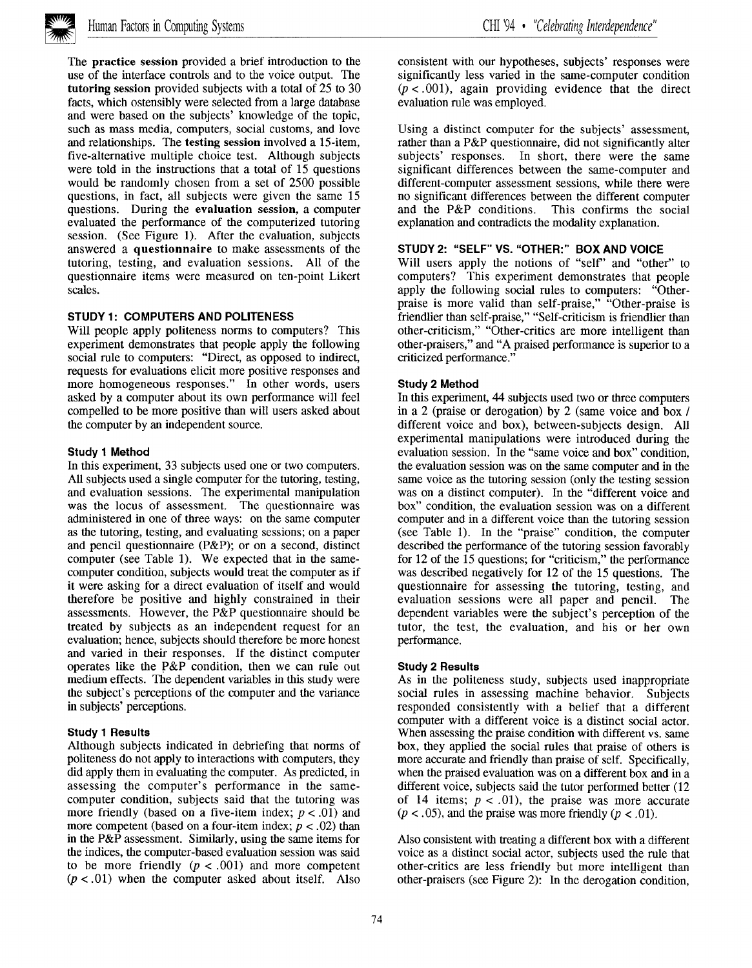

The practice session provided a brief introduction to the use of the interface controls and to the voice output. The tutoring session provided subjects with a total of 25 to 30 facts, which ostensibly were selected from a large database and were based on the subjects' knowledge of the topic, such as mass media, computers, social customs, and love and relationships. The testing session involved a 15-item, five-alternative multiple choice test. Although subjects were told in the instructions that a total of 15 questions would be randomly chosen from a set of 2500 possible questions, in fact, all subjects were given the same 15 questions. During the evaluation session, a computer evaluated the performance of the computerized tutoring session. (See Figure 1). After the evaluation, subjects answered a questionnaire to make assessments of the tutoring, testing, and evaluation sessions. All of the questionnaire items were measured on ten-point Likert scales.

## STUDY 1: COMPUTERS AND POLITENESS

Will people apply politeness norms to computers? This experiment demonstrates that people apply the following social rule to computers: "Direct, as opposed to indirect, requests for evaluations elicit more positive responses and more homogeneous responses." In other words, users asked by a computer about its own performance will feel compelled to be more positive than will users asked about the computer by an independent source.

#### Study 1 Method

In this experiment, 33 subjects used one or two computers. All subjects used a single computer for the tutoring, testing, and evaluation sessions. The experimental manipulation was the locus of assessment. The questionnaire was administered in one of three ways: on the same computer as the tutoring, testing, and evaluating sessions; on a paper and pencil questionnaire (P&P); or on a second, distinct computer (see Table 1). We expected that in the samecomputer condition, subjects would treat the computer as if it were asking for a direct evaluation of itself and would therefore be positive and highly constrained in their assessments. However, the P&P questionnaire should be treated by subjects as an independent request for an evaluation, hence, subjects should therefore be more honest and varied in their responses. If the distinct computer operates like the P&P condition, then we can rule out medium effects. The dependent variables in this study were the subject's perceptions of the computer and the variance in subjects' perceptions.

#### Study 1 Results

Although subjects indicated in debriefing that norms of politeness do not apply to interactions with computers, they did apply them in evaluating the computer. As predicted, in assessing the computer's performance in the samecomputer condition, subjects said that the tutoring was more friendly (based on a five-item index;  $p < .01$ ) and more competent (based on a four-item index;  $p < .02$ ) than in the P&P assessment. Simitarly, using the same items for the indices, the computer-based evaluation session was said to be more friendly  $(p < .001)$  and more competent  $(p < .01)$  when the computer asked about itself. Also consistent with our hypotheses, subjects' responses were significantly less varied in the same-computer condition  $(p < .001)$ , again providing evidence that the direct evaluation rule was employed.

Using a distinct computer for the subjects' assessment, rather than a P&P questionnaire, did not significantly alter subjects' responses. In short, there were the same significant differences between the same-computer and different-computer assessment sessions, while there were no significant differences between the different computer and the P&P conditions. This confirms the social explanation and contradicts the modality explanation.

## STUDY 2: "SELF" VS. "OTHER:" BOX AND VOICE

Will users apply the notions of "self" and "other" to computers? This experiment demonstrates that people apply the following social rules to computers: "Otherpraise is more valid than self-praise," "Other-praise is friendlier than self-praise," "Self-criticism is friendlier than other-criticism," "Other-critics are more intelligent than other-praisers," and "A praised performance is superior to a criticized performance."

#### Study 2 Method

In this experiment, 44 subjects used two or three computers in a 2 (praise or derogation) by 2 (same voice and box / different voice and box), between-subjects design, All experimental manipulations were introduced during the evaluation session. In the "same voice and box" condition, the evaluation session was on the same computer and in the same voice as the tutoring session (only the testing session was on a distinct computer). In the "different voice and box" condition, the evaluation session was on a different computer and in a different voice than the tutoring session (see Table 1). In the "praise" condition, the computer described the performance of the tutoring session favorably for 12 of the 15 questions; for "criticism," the performance was described negatively for 12 of the 15 questions. The questionnaire for assessing the tutoring, testing, and evaluation sessions were all paper and pencil. The dependent variables were the subject's perception of the tutor, the test, the evaluation, and his or her own performance.

## Study 2 Results

As in the politeness study, subjects used inappropriate social rules in assessing machine behavior. Subjects responded consistently with a belief that a different computer with a different voice is a distinct social actor. When assessing the praise condition with different vs. same box, they applied the social rules that praise of others is more accurate and friendly than praise of self. Specifically, when the praised evaluation was on a different box and in a different voice, subjects said the tutor performed better (12 of 14 items;  $p < .01$ ), the praise was more accurate  $(p < .05)$ , and the praise was more friendly  $(p < .01)$ .

Also consistent with treating a different box with a different voice as a distinct social actor, subjects used the rule that other-critics are less friendly but more intelligent than other-praisers (see Figure 2): In the derogation condition,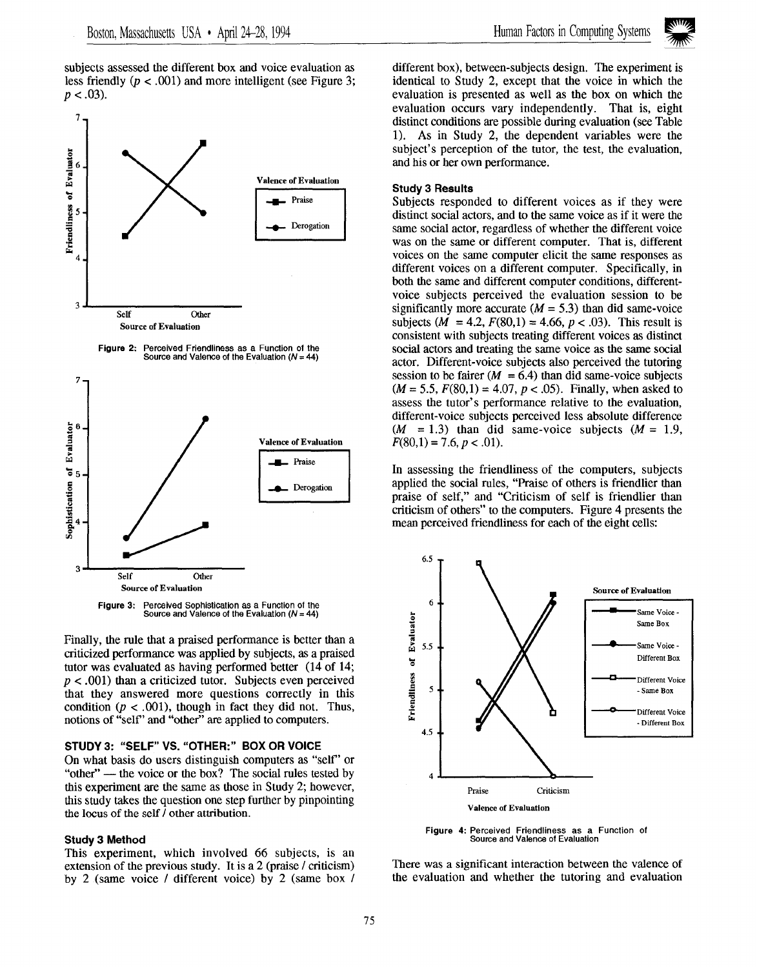subjects assessed the different box and voice evaluation as less friendly ( $p < .001$ ) and more intelligent (see Figure 3;  $p < .03$ ).



Figure 2: Perceived Friendliness as a Function of the Source and Valence of the Evaluation  $(N = 44)$ 



Figure 3: Perceived Sophistication as a Function of the Source and Valence of the Evaluation  $(N = 44)$ 

Finally, the rule that a praised performance is better than a criticized performance was applied by subjects, as a praised tutor was evaluated as having performed better (14 of 14;  $p < .001$ ) than a criticized tutor. Subjects even perceived that they answered more questions correctly in this condition ( $p < .001$ ), though in fact they did not. Thus, notions of "self" and "other" are applied to computers.

## STUDY 3: "SELF" VS. "OTHER:" BOX OR VOICE

On what basis do users distinguish computers as "self' or "other" — the voice or the box? The social rules tested by this experiment are the same as those in Study 2; however, this study takes the question one step further by pinpointing the locus of the self / other attribution.

#### Study 3 Method

7

This experiment, which involved 66 subjects, is an extension of the previous study. It is a 2 (praise / criticism) by 2 (same voice / different voice) by 2 (same box /



different box), between-subjects design. The experiment is identical to Study 2, except that the voice in which the evaluation is presented as well as the box on which the evaluation occurs vary independently. That is, eight distinct conditions are possible during evaluation (see Table 1), As in Study 2, the dependent variables were the subject's perception of the tutor, the test, the evaluation, and his or her own performance,

## Study 3 Results

Subjects responded to different voices as if they were distinct social actors, and to the same voice as if it were the same social actor, regardless of whether the different voice was on the same or different computer. That is, different voices on the same computer elicit the same responses as different voices on a different computer. Specifically, in both the same and different computer conditions, differentvoice subjects perceived the evaluation session to be significantly more accurate  $(M = 5.3)$  than did same-voice subjects  $(M = 4.2, F(80,1) = 4.66, p < .03)$ . This result is consistent with subjects treating different voices as distinct social actors and treating the same voice as the same sociat actor. Different-voice subjects also perceived the tutoring session to be fairer ( $M = 6.4$ ) than did same-voice subjects  $(M = 5.5, F(80,1) = 4.07, p < .05)$ . Finally, when asked to assess the tutor's performance relative to the evaluation, different-voice subjects perceived less absolute difference  $(M = 1.3)$  than did same-voice subjects  $(M = 1.9)$ ,  $F(80,1) = 7.6, p < .01$ ).

In assessing the friendliness of the computers, subjects applied the social rules, "Praise of others is friendlier than praise of self," and "Criticism of self is friendlier than criticism of others" to the computers. Figure 4 presents the mean perceived friendliness for each of the eight cellx



Figure 4: Perceived Friendliness as a Function of Source and Va!ence of Evaluation

There was a significant interaction between the valence of the evaluation and whether the tutoring and evaluation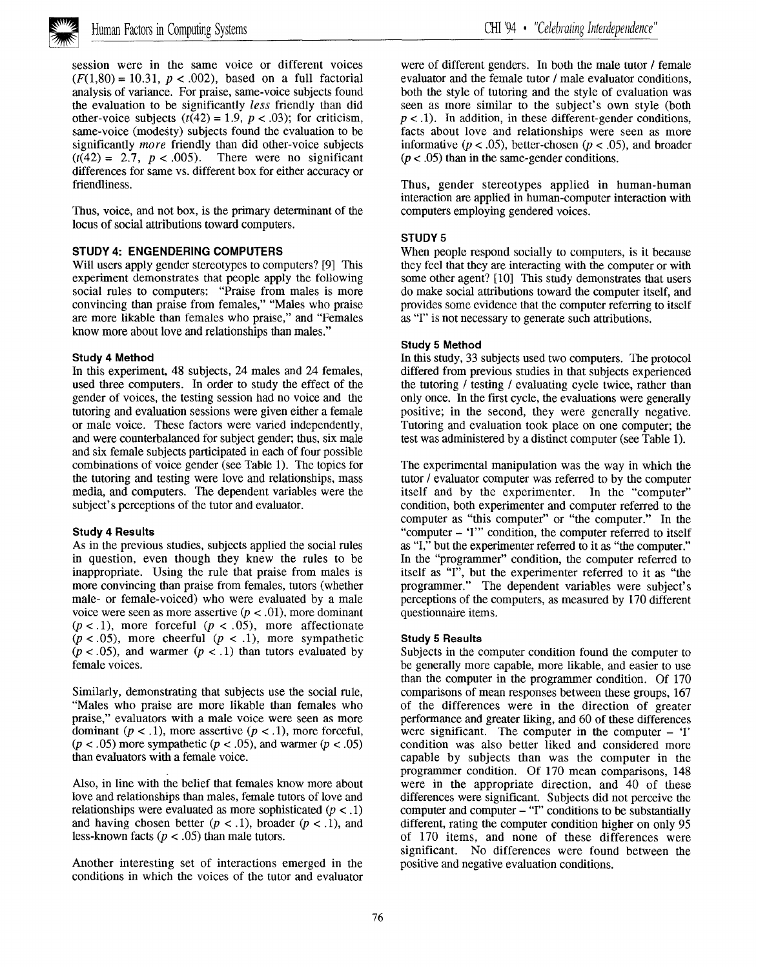

session were in the same voice or different voices  $(F(1,80) = 10.31, p < .002)$ , based on a full factorial analysis of variance. For praise, same-voice subjects found the evaluation to be significantly less friendly than did other-voice subjects  $(t(42) = 1.9, p < .03)$ ; for criticism, same-voice (modesty) subjects found the evaluation to be significantly *more* friendly than did other-voice subjects  $(t(42) = 2.7, p < .005)$ . There were no significant  $(t(42) = 2.7, p < .005)$ . differences for same vs. different box for either accuracy or friendliness.

Thus, voice, and not box, is the primary determinant of the locus of social attributions toward computers.

## STUDY 4: ENGENDERING COMPUTERS

Will users apply gender stereotypes to computers? [9] This experiment demonstrates that people apply the following social rules to computers: "Praise from males is more convincing than praise from females," "Males who praise are more likable than females who praise," and "Females know more about love and relationships than males,"

#### Study 4 Method

In this experiment, 48 subjects, 24 males and 24 females, used three computers. In order to study the effect of the gender of voices, the testing session had no voice and the tutoring and evaluation sessions were given either a female or male voice. These factors were varied independently, and were counterbalanced for subject gender; thus, six male and six female subjects participated in each of four possible combinations of voice gender (see Table 1). The topics for the tutoring and testing were love and relationships, mass media, and computers. The dependent variables were the subject's perceptions of the tutor and evaluator.

#### Study 4 Results

As in the previous studies, subjects applied the social rules in question, even though they knew the rules to be inappropriate. Using the rule that praise from males is more convincing than praise from females, tutors (whether male- or female-voiced) who were evaluated by a male voice were seen as more assertive ( $p < .01$ ), more dominant  $(p < .1)$ , more forceful  $(p < .05)$ , more affectionate  $(p < .05)$ , more cheerful  $(p < .1)$ , more sympathetic  $(p < .05)$ , and warmer  $(p < .1)$  than tutors evaluated by female voices.

Similarly, demonstrating that subjects use the social rule, "Males who praise are more likable than females who praise," evaluators with a male voice were seen as more dominant ( $p < 0.1$ ), more assertive ( $p < 0.1$ ), more forceful,  $(p < .05)$  more sympathetic  $(p < .05)$ , and warmer  $(p < .05)$ than evaluators with a female voice.

Also, in line with the belief that females know more about love and relationships than males, female tutors of love and relationships were evaluated as more sophisticated  $(p < .1)$ and having chosen better  $(p < 0.1)$ , broader  $(p < 0.1)$ , and less-known facts ( $p < .05$ ) than male tutors.

Another interesting set of interactions emerged in the conditions in which the voices of the tutor and evaluator

were of different genders, In both the male tutor / female evaluator and the female tutor / male evaluator conditions, both the style of tutoring and the style of evaluation was seen as more similar to the subject's own style (both  $p < .1$ ). In addition, in these different-gender conditions, facts about love and relationships were seen as more informative ( $p < .05$ ), better-chosen ( $p < .05$ ), and broader  $(p < .05)$  than in the same-gender conditions.

Thus, gender stereotypes applied in human-human interaction are applied in human-computer interaction with computers employing gendered voices.

## STUDY 5

When people respond socially to computers, is it because they feel that they are interacting with the computer or with some other agent? [10] This study demonstrates that users do make social attributions toward the computer itself, and provides some evidence that the computer referring to itself as "I" is not necessary to generate such attributions.

#### Study 5 Method

In this study, 33 subjects used two computers. The protocol differed from previous studies in that subjects experienced the tutoring / testing / evaluating cycle twice, rather than only once. In the first cycle, the evaluations were generally positive; in the second, they were generally negative. Tutoring and evaluation took place on one computer; the test was administered by a distinct computer (see Table 1).

The experimental manipulation was the way in which the tutor / evaluator computer was referred to by the computer itself and by the experimenter. In the "computer" condition, both experimenter and computer referred to the computer as "this computer" or "the computer." In the "computer – 'I'" condition, the computer referred to itself as "I," but the experimenter referred to it as "the computer." In the "programmer" condition, the computer referred to itself as "I", but the experimenter referred to it as "the programmer." The dependent variables were subject's perceptions of the computers, as measured by 170 different questionnaire items.

#### Study 5 Results

Subjects in the computer condition found the computer to be generally more capable, more likable, and easier to use than the computer in the programmer condition. Of 170 comparisons of mean responses between these groups, 167 of the differences were in the direction of greater performance and greater liking, and 60 of these differences were significant. The computer in the computer  $-$  'I' condition was also better liked and considered more capable by subjects than was the computer in the programmer condition. Of 170 mean comparisons, 148 were in the appropriate direction, and 40 of these differences were significant. Subjects did not perceive the computer and computer  $-$  "I" conditions to be substantially different, rating the computer condition higher on only 95 of 170 items, and none of these differences were significant. No differences were found between the positive and negative evaluation conditions.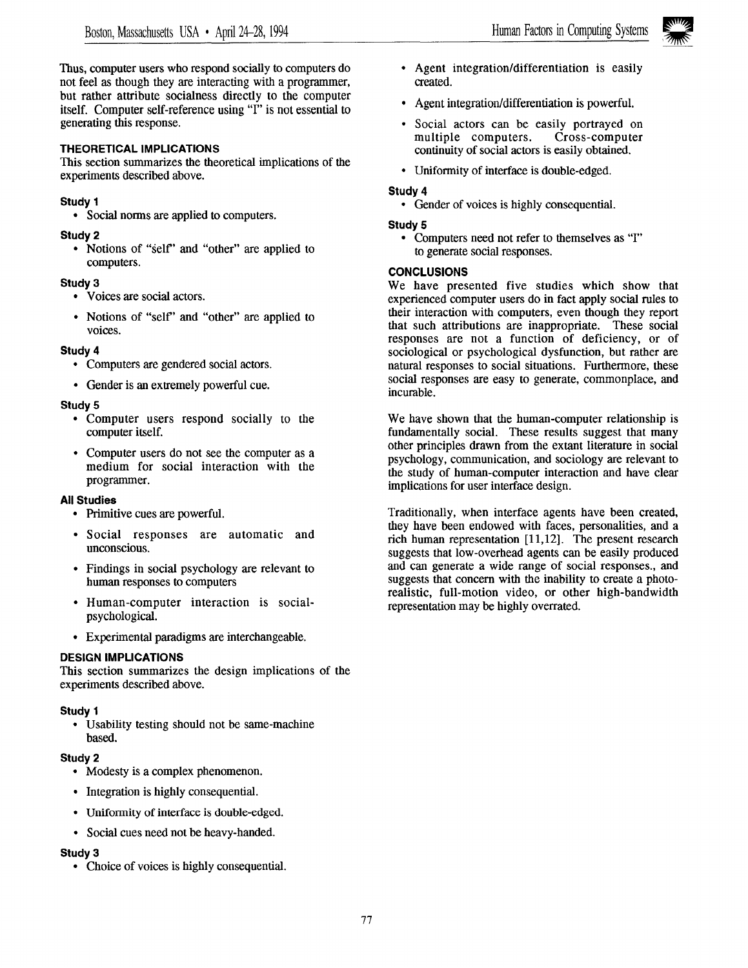

Thus, computer users who respond socially to computers do not feel as though they are interacting with a programmer, but rather attribute socialness directly to the computer itself. Computer self-reference using "I" is not essential to generating this response.

# THEORETICAL IMPLICATIONS

This section summarizes the theoretical implications of the experiments described above.

# Study 1

• Social norms are applied to computers.

# Study 2

• Notions of "self" and "other" are applied to computers.

## Study 3

- Voices are social actors.
- Notions of "self" and "other" are applied to voices.

# Study 4

- Computers are gendered social actors.
- Gender is an extremely powerful cue.

# Study 5

- Computer users respond socially to the computer itself.
- Computer users do not see the computer as a medium for social interaction with the programmer.

## All Studies

- Primitive cues are powerfu
- Social responses are automatic and unconscious.
- Findings in social psychology are relevant to human responses to computers
- Human-computer interaction is socia psychological,
- Experimental paradigms are interchangeabl

## DESIGN IMPLICATIONS

This section summarizes the design implications of the experiments described above.

## Study 1

Usability testing should not be same-machine based.

## Study 2

- Modesty is a complex phenomenon.
- Integration is highly consequential.
- Uniformity of interface is double-edged.
- Social cues need not be heavy-handed.

## Study 3

• Choice of voices is highly consequential.

- Agent integration/differentiation is easil created.
- Agent integration/differentiation is powerful.
- ✌ Social actors can be easily portrayed on multiple computers. Cross-computer continuity of social actors is easily obtained.
- Uniformity of interface is double-edge.

# Study 4

• Gender of voices is highly consequential.

## Study 5

• Computers need not refer to themselves as "I" to generate social responses.

# **CONCLUSIONS**

We have presented five studies which show that experienced computer users do in fact apply social rules to their interaction with computers, even though they report that such attributions are inappropriate. These social responses are not a function of deficiency, or of sociological or psychological dysfunction, but rather are natural responses to social situations. Furthermore, these social responses are easy to generate, commonplace, and incumble.

We have shown that the human-computer relationship is fundamentally social. These results suggest that many other principles drawn from the extant literature in social psychology, communication, and sociology are relevant to the study of human-computer interaction and have clear implications for user interface design.

Traditionally, when interface agents have been created, they have been endowed with faces, personalities, and a rich human representation [11,12]. The present research suggests that low-overhead agents can be easily produced and can generate a wide range of social responses., and suggests that concern with the inability to create a photorealistic, full-motion video, or other high-bandwidth representation may be highly overrated.